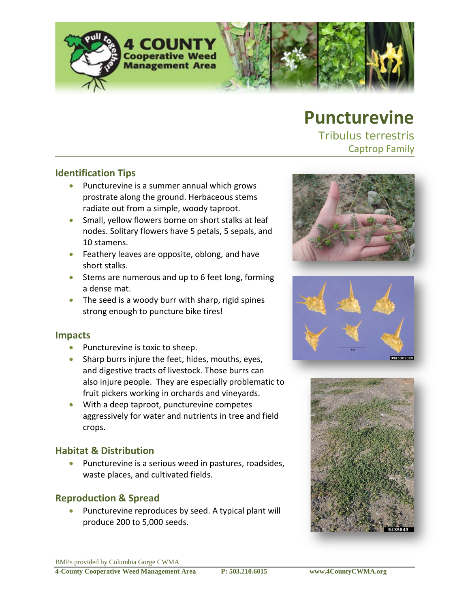

# **Puncturevine**

*Tribulus terrestris* Captrop Family

#### **Identification Tips**

- Puncturevine is a summer annual which grows prostrate along the ground. Herbaceous stems radiate out from a simple, woody taproot.
- Small, yellow flowers borne on short stalks at leaf nodes. Solitary flowers have 5 petals, 5 sepals, and 10 stamens.
- Feathery leaves are opposite, oblong, and have short stalks.
- Stems are numerous and up to 6 feet long, forming a dense mat.
- The seed is a woody burr with sharp, rigid spines strong enough to puncture bike tires!

#### **Impacts**

- Puncturevine is toxic to sheep.
- Sharp burrs injure the feet, hides, mouths, eyes, and digestive tracts of livestock. Those burrs can also injure people. They are especially problematic to fruit pickers working in orchards and vineyards.
- With a deep taproot, puncturevine competes aggressively for water and nutrients in tree and field crops.

## **Habitat & Distribution**

• Puncturevine is a serious weed in pastures, roadsides, waste places, and cultivated fields.

## **Reproduction & Spread**

Puncturevine reproduces by seed. A typical plant will produce 200 to 5,000 seeds.





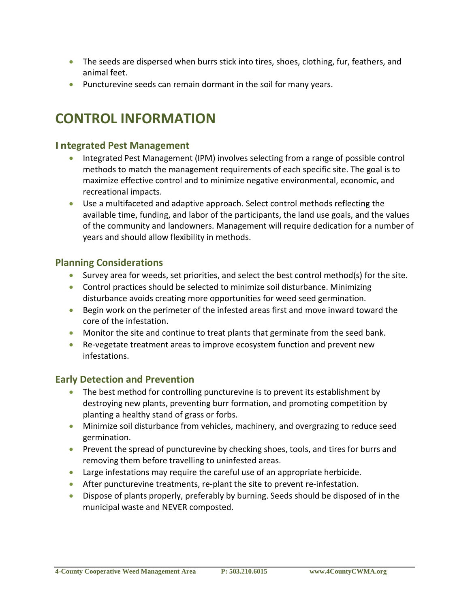- The seeds are dispersed when burrs stick into tires, shoes, clothing, fur, feathers, and animal feet.
- Puncturevine seeds can remain dormant in the soil for many years.

## **CONTROL INFORMATION**

#### **Integrated Pest Management**

- Integrated Pest Management (IPM) involves selecting from a range of possible control methods to match the management requirements of each specific site. The goal is to maximize effective control and to minimize negative environmental, economic, and recreational impacts.
- Use a multifaceted and adaptive approach. Select control methods reflecting the available time, funding, and labor of the participants, the land use goals, and the values of the community and landowners. Management will require dedication for a number of years and should allow flexibility in methods.

#### **Planning Considerations**

- Survey area for weeds, set priorities, and select the best control method(s) for the site.
- Control practices should be selected to minimize soil disturbance. Minimizing disturbance avoids creating more opportunities for weed seed germination.
- Begin work on the perimeter of the infested areas first and move inward toward the core of the infestation.
- Monitor the site and continue to treat plants that germinate from the seed bank.
- Re-vegetate treatment areas to improve ecosystem function and prevent new infestations.

## **Early Detection and Prevention**

- The best method for controlling puncturevine is to prevent its establishment by destroying new plants, preventing burr formation, and promoting competition by planting a healthy stand of grass or forbs.
- Minimize soil disturbance from vehicles, machinery, and overgrazing to reduce seed germination.
- Prevent the spread of puncturevine by checking shoes, tools, and tires for burrs and removing them before travelling to uninfested areas.
- Large infestations may require the careful use of an appropriate herbicide.
- After puncturevine treatments, re-plant the site to prevent re-infestation.
- Dispose of plants properly, preferably by burning. Seeds should be disposed of in the municipal waste and NEVER composted.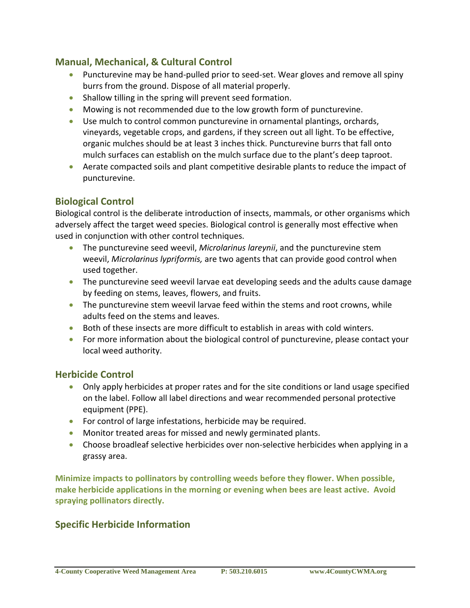## **Manual, Mechanical, & Cultural Control**

- Puncturevine may be hand-pulled prior to seed-set. Wear gloves and remove all spiny burrs from the ground. Dispose of all material properly.
- Shallow tilling in the spring will prevent seed formation.
- Mowing is not recommended due to the low growth form of puncturevine.
- Use mulch to control common puncturevine in ornamental plantings, orchards, vineyards, vegetable crops, and gardens, if they screen out all light. To be effective, organic mulches should be at least 3 inches thick. Puncturevine burrs that fall onto mulch surfaces can establish on the mulch surface due to the plant's deep taproot.
- Aerate compacted soils and plant competitive desirable plants to reduce the impact of puncturevine.

## **Biological Control**

Biological control is the deliberate introduction of insects, mammals, or other organisms which adversely affect the target weed species. Biological control is generally most effective when used in conjunction with other control techniques.

- The puncturevine seed weevil, *Microlarinus lareynii*, and the puncturevine stem weevil, *Microlarinus lypriformis,* are two agents that can provide good control when used together.
- The puncturevine seed weevil larvae eat developing seeds and the adults cause damage by feeding on stems, leaves, flowers, and fruits.
- The puncturevine stem weevil larvae feed within the stems and root crowns, while adults feed on the stems and leaves.
- Both of these insects are more difficult to establish in areas with cold winters.
- For more information about the biological control of puncturevine, please contact your local weed authority.

#### **Herbicide Control**

- Only apply herbicides at proper rates and for the site conditions or land usage specified on the label. Follow all label directions and wear recommended personal protective equipment (PPE).
- For control of large infestations, herbicide may be required.
- Monitor treated areas for missed and newly germinated plants.
- Choose broadleaf selective herbicides over non-selective herbicides when applying in a grassy area.

**Minimize impacts to pollinators by controlling weeds before they flower. When possible, make herbicide applications in the morning or evening when bees are least active. Avoid spraying pollinators directly.**

## **Specific Herbicide Information**